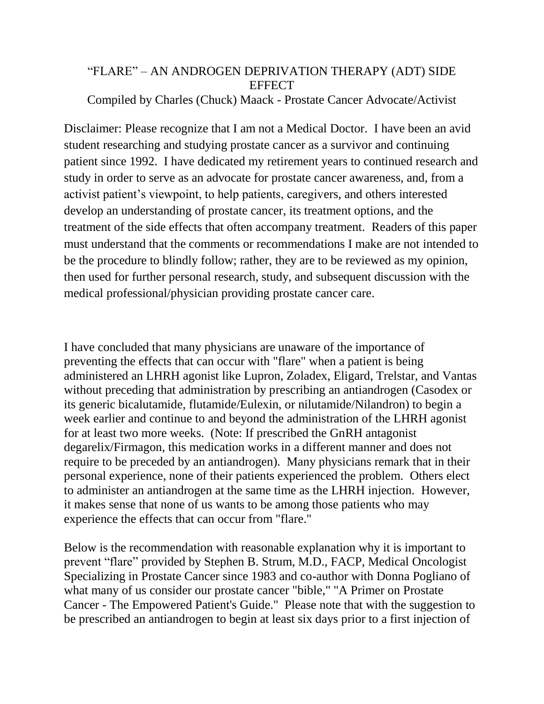## "FLARE" – AN ANDROGEN DEPRIVATION THERAPY (ADT) SIDE **EFFECT**

## Compiled by Charles (Chuck) Maack - Prostate Cancer Advocate/Activist

Disclaimer: Please recognize that I am not a Medical Doctor. I have been an avid student researching and studying prostate cancer as a survivor and continuing patient since 1992. I have dedicated my retirement years to continued research and study in order to serve as an advocate for prostate cancer awareness, and, from a activist patient's viewpoint, to help patients, caregivers, and others interested develop an understanding of prostate cancer, its treatment options, and the treatment of the side effects that often accompany treatment. Readers of this paper must understand that the comments or recommendations I make are not intended to be the procedure to blindly follow; rather, they are to be reviewed as my opinion, then used for further personal research, study, and subsequent discussion with the medical professional/physician providing prostate cancer care.

I have concluded that many physicians are unaware of the importance of preventing the effects that can occur with "flare" when a patient is being administered an LHRH agonist like Lupron, Zoladex, Eligard, Trelstar, and Vantas without preceding that administration by prescribing an antiandrogen (Casodex or its generic bicalutamide, flutamide/Eulexin, or nilutamide/Nilandron) to begin a week earlier and continue to and beyond the administration of the LHRH agonist for at least two more weeks. (Note: If prescribed the GnRH antagonist degarelix/Firmagon, this medication works in a different manner and does not require to be preceded by an antiandrogen). Many physicians remark that in their personal experience, none of their patients experienced the problem. Others elect to administer an antiandrogen at the same time as the LHRH injection. However, it makes sense that none of us wants to be among those patients who may experience the effects that can occur from "flare."

Below is the recommendation with reasonable explanation why it is important to prevent "flare" provided by Stephen B. Strum, M.D., FACP, Medical Oncologist Specializing in Prostate Cancer since 1983 and co-author with Donna Pogliano of what many of us consider our prostate cancer "bible," "A Primer on Prostate Cancer - The Empowered Patient's Guide." Please note that with the suggestion to be prescribed an antiandrogen to begin at least six days prior to a first injection of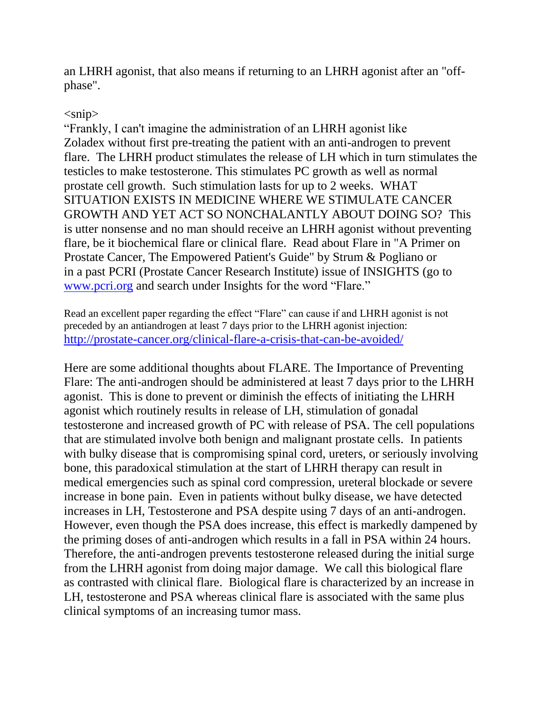an LHRH agonist, that also means if returning to an LHRH agonist after an "offphase".

## $\langle$ snip $\rangle$

"Frankly, I can't imagine the administration of an LHRH agonist like Zoladex without first pre-treating the patient with an anti-androgen to prevent flare. The LHRH product stimulates the release of LH which in turn stimulates the testicles to make testosterone. This stimulates PC growth as well as normal prostate cell growth. Such stimulation lasts for up to 2 weeks. WHAT SITUATION EXISTS IN MEDICINE WHERE WE STIMULATE CANCER GROWTH AND YET ACT SO NONCHALANTLY ABOUT DOING SO? This is utter nonsense and no man should receive an LHRH agonist without preventing flare, be it biochemical flare or clinical flare. Read about Flare in "A Primer on Prostate Cancer, The Empowered Patient's Guide" by Strum & Pogliano or in a past PCRI (Prostate Cancer Research Institute) issue of INSIGHTS (go to [www.pcri.org](http://www.pcri.org/) and search under Insights for the word "Flare."

Read an excellent paper regarding the effect "Flare" can cause if and LHRH agonist is not preceded by an antiandrogen at least 7 days prior to the LHRH agonist injection: <http://prostate-cancer.org/clinical-flare-a-crisis-that-can-be-avoided/>

Here are some additional thoughts about FLARE. The Importance of Preventing Flare: The anti-androgen should be administered at least 7 days prior to the LHRH agonist. This is done to prevent or diminish the effects of initiating the LHRH agonist which routinely results in release of LH, stimulation of gonadal testosterone and increased growth of PC with release of PSA. The cell populations that are stimulated involve both benign and malignant prostate cells. In patients with bulky disease that is compromising spinal cord, ureters, or seriously involving bone, this paradoxical stimulation at the start of LHRH therapy can result in medical emergencies such as spinal cord compression, ureteral blockade or severe increase in bone pain. Even in patients without bulky disease, we have detected increases in LH, Testosterone and PSA despite using 7 days of an anti-androgen. However, even though the PSA does increase, this effect is markedly dampened by the priming doses of anti-androgen which results in a fall in PSA within 24 hours. Therefore, the anti-androgen prevents testosterone released during the initial surge from the LHRH agonist from doing major damage. We call this biological flare as contrasted with clinical flare. Biological flare is characterized by an increase in LH, testosterone and PSA whereas clinical flare is associated with the same plus clinical symptoms of an increasing tumor mass.